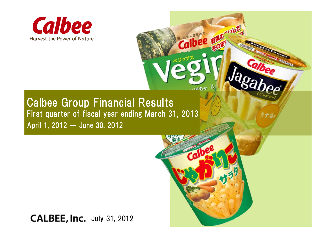



**Thee** 

Copyright © 2012 CALBEE, Inc. All rights reserved.

Calbee

## Calbee Group Financial Results First quarter of fiscal year ending March 31, 2013 April 1, 2012  $-$  June 30, 2012

## CALBEE, Inc. July 31, 2012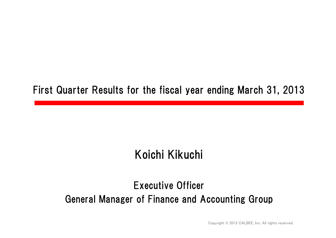## First Quarter Results for the fiscal year ending March 31, 2013

## Koichi Kikuchi

## Executive Officer General Manager of Finance and Accounting Group

Copyright © 2012 CALBEE, Inc. All rights reserved.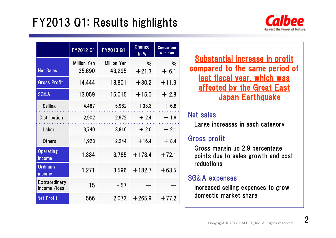## FY2013 Q1: Results highlights



|                               | FY2012 Q1                    | FY2013 Q1                    | <b>Change</b><br>$ln \frac{96}{2}$ | <b>Comparison</b><br>with plan |  |
|-------------------------------|------------------------------|------------------------------|------------------------------------|--------------------------------|--|
| <b>Net Sales</b>              | <b>Million Yen</b><br>35,690 | <b>Million Yen</b><br>43,295 | %<br>$+21.3$                       | %<br>$+6.1$                    |  |
| <b>Gross Profit</b>           | 14,444                       | 18,801                       | $+30.2$                            | $+11.9$                        |  |
| <b>SG&amp;A</b>               | 13,059                       | 15,015                       | $+15.0$                            | $+2.8$                         |  |
| <b>Selling</b>                | 4,487                        | 5,982                        | $+33.3$                            | $+6.8$                         |  |
| <b>Distribution</b>           | 2,902                        | 2,972                        | $+2.4$                             | $-1.9$                         |  |
| Labor                         | 3,740                        | 3,816                        | $+2.0$                             | $-2.1$                         |  |
| <b>Others</b>                 | 1,928                        | 2,244                        | $+16.4$                            | $+8.4$                         |  |
| <b>Operating</b><br>income    | 1,384                        | 3,785                        | $+173.4$                           | $+72.1$                        |  |
| <b>Ordinary</b><br>income     | 1,271                        | 3,596                        | $+182.7$                           | $+63.5$                        |  |
| Extraordinary<br>income /loss | 15                           | $-57$                        |                                    |                                |  |
| <b>Net Profit</b>             | 566                          | 2,073                        | $+265.9$                           | $+77.2$                        |  |

Substantial increase in profit compared to the same period of last fiscal year, which was affected by the Great East Japan Earthquake

#### Net sales

Large increases in each category

### Gross profit

Gross margin up 2.9 percentage points due to sales growth and cost reductions

## SG&A expenses

Increased selling expenses to grow domestic market share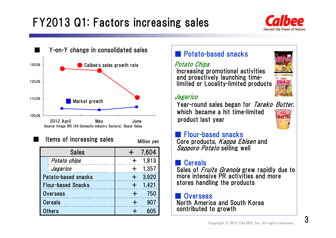# FY2013 Q1: Factors increasing sales





Items of increasing sales Million yen

■

| <b>Sales</b>              | 7,604 |
|---------------------------|-------|
| Potato chips              | 1,813 |
| Jagarico                  | 1,357 |
| Patato-based snacks       | 3,920 |
| <b>Flour-based Snacks</b> | 1.421 |
| <b>Overseas</b>           | 750   |
| <b>Cereals</b>            | 907   |
| Others                    | 605   |

## ■ Potato-based snacks

Potato Chips

Increasing promotional activities and proactively launching timelimited or Locality-limited products



Year-round sales began for *Tarako Butter*, which became a hit time-limited product last year



#### ■ Flour-based snacks Core products, *Kappa Ebisen* and Sapporo Potato selling well

#### ■**Cereals**

Sales of *Fruits Granola* grew rapidly due to more intensive PR activities and more stores handling the products

**Overseas** North America and South Korea contributed to growth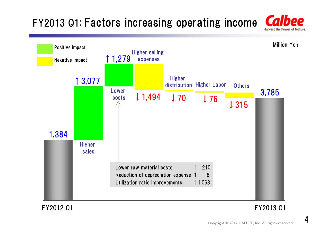## FY2013 Q1: Factors increasing operating income



#### FY2012 Q1 FY2013 Q1

4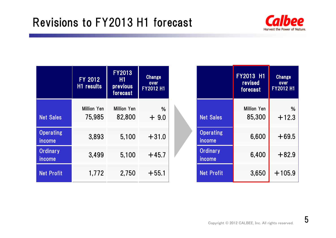

|                            | FY 2012<br>H1 results        | FY2013<br><b>H1</b><br>previous<br>forecast | <b>Change</b><br>over<br>FY2012 H1 |
|----------------------------|------------------------------|---------------------------------------------|------------------------------------|
| <b>Net Sales</b>           | <b>Million Yen</b><br>75.985 | <b>Million Yen</b><br>82,800                | %<br>$+9.0$                        |
| <b>Operating</b><br>income | 3,893                        | 5,100                                       | $+31.0$                            |
| <b>Ordinary</b><br>income  | 3,499                        | 5,100                                       | $+45.7$                            |
| <b>Net Profit</b>          | 1,772                        | 2,750                                       | $+55.1$                            |

|                            | <b>FY2013 H1</b><br>revised<br>forecast | <b>Change</b><br>$QV$ er<br><b>FY2012 H1</b> |
|----------------------------|-----------------------------------------|----------------------------------------------|
| <b>Net Sales</b>           | <b>Million Yen</b><br>85,300            | %<br>$+12.3$                                 |
| <b>Operating</b><br>income | 6,600                                   | $+69.5$                                      |
| <b>Ordinary</b><br>income  | 6,400                                   | $+82.9$                                      |
| <b>Net Profit</b>          | 3,650                                   | $+105.9$                                     |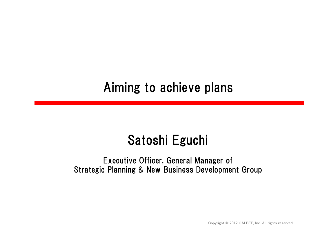# Aiming to achieve plans

# Satoshi Eguchi

### Executive Officer, General Manager of Strategic Planning & New Business Development Group

Copyright © 2012 CALBEE, Inc. All rights reserved.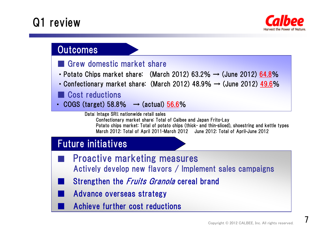## Q1 review



## **Outcomes**

## ■ Grew domestic market share

- Potato Chips market share: (March 2012) 63.2%  $\rightarrow$  (June 2012) 64.8%
- Confectionary market share: (March 2012) 48.9%  $\rightarrow$  (June 2012) 49.6%

## ■ Cost reductions

• COGS (target) 58.8%  $→$  (actual)  $56.6%$ </u>

Data: Intage SRI; nationwide retail sales Confectionary market share: Total of Calbee and Japan Frito-Lay Potato chips market: Total of potato chips (thick- and thin-sliced), shoestring and kettle types March 2012: Total of April 2011-March 2012 June 2012: Total of April-June 2012

## Future initiatives

- Proactive marketing measures Actively develop new flavors / Implement sales campaigns
	- Strengthen the *Fruits Granola* cereal brand
	- Advance overseas strategy
		- Achieve further cost reductions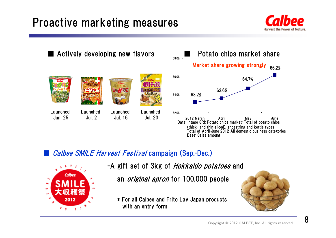## Proactive marketing measures





#### ■Calbee SMILE Harvest Festival campaign (Sep.-Dec.)



-A gift set of 3kg of *Hokkaido potatoes* and

an *original apron* for 100,000 people

\* For all Calbee and Frito Lay Japan products with an entry form

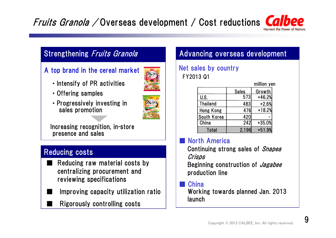## Fruits Granola / Overseas development / Cost reductions Ca

#### A top brand in the cereal market



- ・Intensify of PR activities
- ・Offering samples
- ・Progressively investing in sales promotion



Increasing recognition, in-store presence and sales

## Reducing costs

■

- ■ Reducing raw material costs by centralizing procurement and reviewing specifications
- ■ Improving capacity utilization ratio
	- Rigorously controlling costs

## Strengthening *Fruits Granola* **Advancing overseas development**

#### Net sales by country FY2013 Q1

|                 |              | million yen |
|-----------------|--------------|-------------|
|                 | <b>Sales</b> | Growth      |
| U.S.            | 573          | $+46.2%$    |
| <b>Thailand</b> | 483          | $+2.6%$     |
| Hong Kong       | 476          | $+18.2%$    |
| South Korea     | 420          |             |
| China           | 242          | $+35.0%$    |
| Total           | 2.196        | $+51.9%$    |

#### North America

Continuing strong sales of *Snapea* Crisps

Beginning construction of *Jagabee* production line

#### **China**

Working towards planned Jan. 2013 launch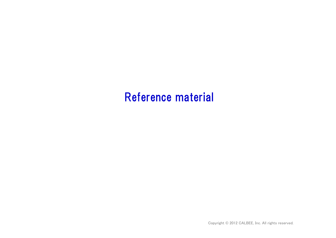## Reference material